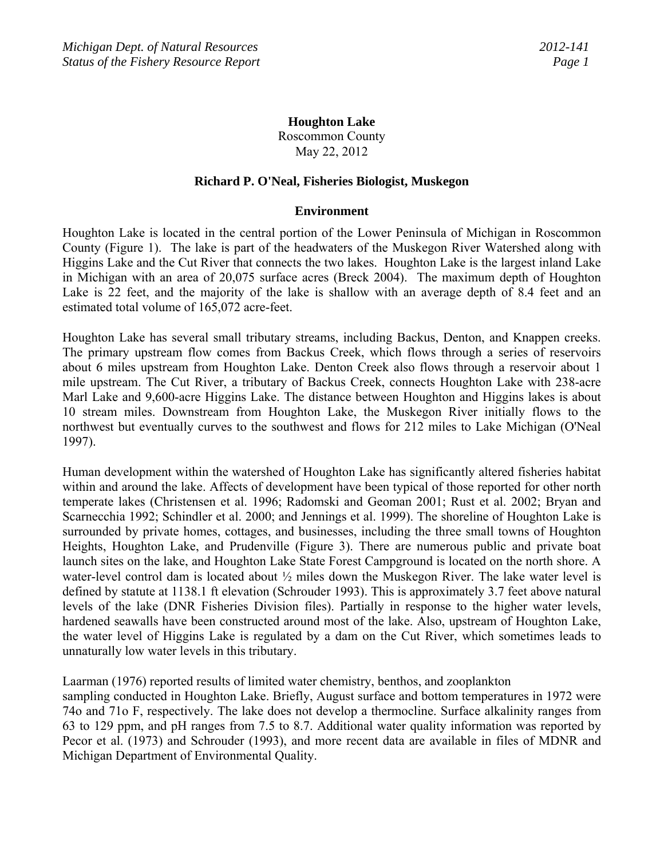# **Houghton Lake**

Roscommon County May 22, 2012

### **Richard P. O'Neal, Fisheries Biologist, Muskegon**

### **Environment**

Houghton Lake is located in the central portion of the Lower Peninsula of Michigan in Roscommon County (Figure 1). The lake is part of the headwaters of the Muskegon River Watershed along with Higgins Lake and the Cut River that connects the two lakes. Houghton Lake is the largest inland Lake in Michigan with an area of 20,075 surface acres (Breck 2004). The maximum depth of Houghton Lake is 22 feet, and the majority of the lake is shallow with an average depth of 8.4 feet and an estimated total volume of 165,072 acre-feet.

Houghton Lake has several small tributary streams, including Backus, Denton, and Knappen creeks. The primary upstream flow comes from Backus Creek, which flows through a series of reservoirs about 6 miles upstream from Houghton Lake. Denton Creek also flows through a reservoir about 1 mile upstream. The Cut River, a tributary of Backus Creek, connects Houghton Lake with 238-acre Marl Lake and 9,600-acre Higgins Lake. The distance between Houghton and Higgins lakes is about 10 stream miles. Downstream from Houghton Lake, the Muskegon River initially flows to the northwest but eventually curves to the southwest and flows for 212 miles to Lake Michigan (O'Neal 1997).

Human development within the watershed of Houghton Lake has significantly altered fisheries habitat within and around the lake. Affects of development have been typical of those reported for other north temperate lakes (Christensen et al. 1996; Radomski and Geoman 2001; Rust et al. 2002; Bryan and Scarnecchia 1992; Schindler et al. 2000; and Jennings et al. 1999). The shoreline of Houghton Lake is surrounded by private homes, cottages, and businesses, including the three small towns of Houghton Heights, Houghton Lake, and Prudenville (Figure 3). There are numerous public and private boat launch sites on the lake, and Houghton Lake State Forest Campground is located on the north shore. A water-level control dam is located about ½ miles down the Muskegon River. The lake water level is defined by statute at 1138.1 ft elevation (Schrouder 1993). This is approximately 3.7 feet above natural levels of the lake (DNR Fisheries Division files). Partially in response to the higher water levels, hardened seawalls have been constructed around most of the lake. Also, upstream of Houghton Lake, the water level of Higgins Lake is regulated by a dam on the Cut River, which sometimes leads to unnaturally low water levels in this tributary.

Laarman (1976) reported results of limited water chemistry, benthos, and zooplankton

sampling conducted in Houghton Lake. Briefly, August surface and bottom temperatures in 1972 were 74o and 71o F, respectively. The lake does not develop a thermocline. Surface alkalinity ranges from 63 to 129 ppm, and pH ranges from 7.5 to 8.7. Additional water quality information was reported by Pecor et al. (1973) and Schrouder (1993), and more recent data are available in files of MDNR and Michigan Department of Environmental Quality.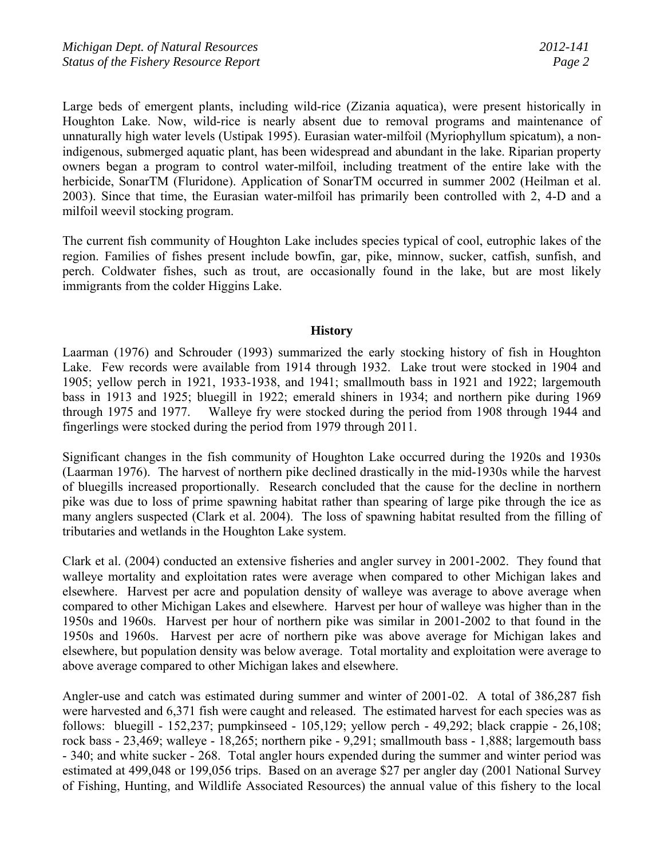Large beds of emergent plants, including wild-rice (Zizania aquatica), were present historically in Houghton Lake. Now, wild-rice is nearly absent due to removal programs and maintenance of unnaturally high water levels (Ustipak 1995). Eurasian water-milfoil (Myriophyllum spicatum), a nonindigenous, submerged aquatic plant, has been widespread and abundant in the lake. Riparian property owners began a program to control water-milfoil, including treatment of the entire lake with the herbicide, SonarTM (Fluridone). Application of SonarTM occurred in summer 2002 (Heilman et al. 2003). Since that time, the Eurasian water-milfoil has primarily been controlled with 2, 4-D and a milfoil weevil stocking program.

The current fish community of Houghton Lake includes species typical of cool, eutrophic lakes of the region. Families of fishes present include bowfin, gar, pike, minnow, sucker, catfish, sunfish, and perch. Coldwater fishes, such as trout, are occasionally found in the lake, but are most likely immigrants from the colder Higgins Lake.

### **History**

Laarman (1976) and Schrouder (1993) summarized the early stocking history of fish in Houghton Lake. Few records were available from 1914 through 1932. Lake trout were stocked in 1904 and 1905; yellow perch in 1921, 1933-1938, and 1941; smallmouth bass in 1921 and 1922; largemouth bass in 1913 and 1925; bluegill in 1922; emerald shiners in 1934; and northern pike during 1969 through 1975 and 1977. Walleye fry were stocked during the period from 1908 through 1944 and fingerlings were stocked during the period from 1979 through 2011.

Significant changes in the fish community of Houghton Lake occurred during the 1920s and 1930s (Laarman 1976). The harvest of northern pike declined drastically in the mid-1930s while the harvest of bluegills increased proportionally. Research concluded that the cause for the decline in northern pike was due to loss of prime spawning habitat rather than spearing of large pike through the ice as many anglers suspected (Clark et al. 2004). The loss of spawning habitat resulted from the filling of tributaries and wetlands in the Houghton Lake system.

Clark et al. (2004) conducted an extensive fisheries and angler survey in 2001-2002. They found that walleye mortality and exploitation rates were average when compared to other Michigan lakes and elsewhere. Harvest per acre and population density of walleye was average to above average when compared to other Michigan Lakes and elsewhere. Harvest per hour of walleye was higher than in the 1950s and 1960s. Harvest per hour of northern pike was similar in 2001-2002 to that found in the 1950s and 1960s. Harvest per acre of northern pike was above average for Michigan lakes and elsewhere, but population density was below average. Total mortality and exploitation were average to above average compared to other Michigan lakes and elsewhere.

Angler-use and catch was estimated during summer and winter of 2001-02. A total of 386,287 fish were harvested and 6,371 fish were caught and released. The estimated harvest for each species was as follows: bluegill - 152,237; pumpkinseed - 105,129; yellow perch - 49,292; black crappie - 26,108; rock bass - 23,469; walleye - 18,265; northern pike - 9,291; smallmouth bass - 1,888; largemouth bass - 340; and white sucker - 268. Total angler hours expended during the summer and winter period was estimated at 499,048 or 199,056 trips. Based on an average \$27 per angler day (2001 National Survey of Fishing, Hunting, and Wildlife Associated Resources) the annual value of this fishery to the local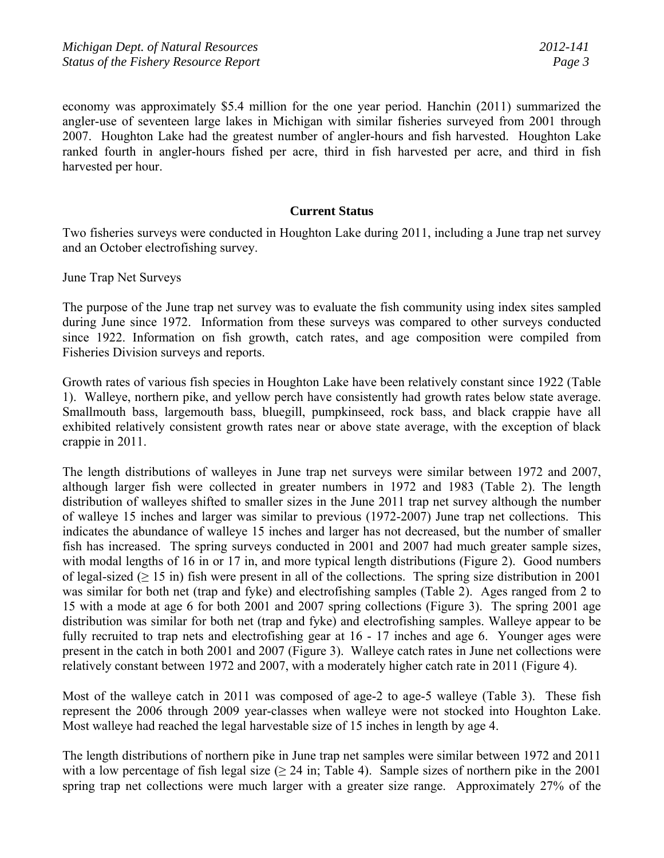economy was approximately \$5.4 million for the one year period. Hanchin (2011) summarized the angler-use of seventeen large lakes in Michigan with similar fisheries surveyed from 2001 through 2007. Houghton Lake had the greatest number of angler-hours and fish harvested. Houghton Lake ranked fourth in angler-hours fished per acre, third in fish harvested per acre, and third in fish harvested per hour.

### **Current Status**

Two fisheries surveys were conducted in Houghton Lake during 2011, including a June trap net survey and an October electrofishing survey.

June Trap Net Surveys

The purpose of the June trap net survey was to evaluate the fish community using index sites sampled during June since 1972. Information from these surveys was compared to other surveys conducted since 1922. Information on fish growth, catch rates, and age composition were compiled from Fisheries Division surveys and reports.

Growth rates of various fish species in Houghton Lake have been relatively constant since 1922 (Table 1). Walleye, northern pike, and yellow perch have consistently had growth rates below state average. Smallmouth bass, largemouth bass, bluegill, pumpkinseed, rock bass, and black crappie have all exhibited relatively consistent growth rates near or above state average, with the exception of black crappie in 2011.

The length distributions of walleyes in June trap net surveys were similar between 1972 and 2007, although larger fish were collected in greater numbers in 1972 and 1983 (Table 2). The length distribution of walleyes shifted to smaller sizes in the June 2011 trap net survey although the number of walleye 15 inches and larger was similar to previous (1972-2007) June trap net collections. This indicates the abundance of walleye 15 inches and larger has not decreased, but the number of smaller fish has increased. The spring surveys conducted in 2001 and 2007 had much greater sample sizes, with modal lengths of 16 in or 17 in, and more typical length distributions (Figure 2). Good numbers of legal-sized ( $\geq 15$  in) fish were present in all of the collections. The spring size distribution in 2001 was similar for both net (trap and fyke) and electrofishing samples (Table 2). Ages ranged from 2 to 15 with a mode at age 6 for both 2001 and 2007 spring collections (Figure 3). The spring 2001 age distribution was similar for both net (trap and fyke) and electrofishing samples. Walleye appear to be fully recruited to trap nets and electrofishing gear at 16 - 17 inches and age 6. Younger ages were present in the catch in both 2001 and 2007 (Figure 3). Walleye catch rates in June net collections were relatively constant between 1972 and 2007, with a moderately higher catch rate in 2011 (Figure 4).

Most of the walleye catch in 2011 was composed of age-2 to age-5 walleye (Table 3). These fish represent the 2006 through 2009 year-classes when walleye were not stocked into Houghton Lake. Most walleye had reached the legal harvestable size of 15 inches in length by age 4.

The length distributions of northern pike in June trap net samples were similar between 1972 and 2011 with a low percentage of fish legal size ( $\geq$  24 in; Table 4). Sample sizes of northern pike in the 2001 spring trap net collections were much larger with a greater size range. Approximately 27% of the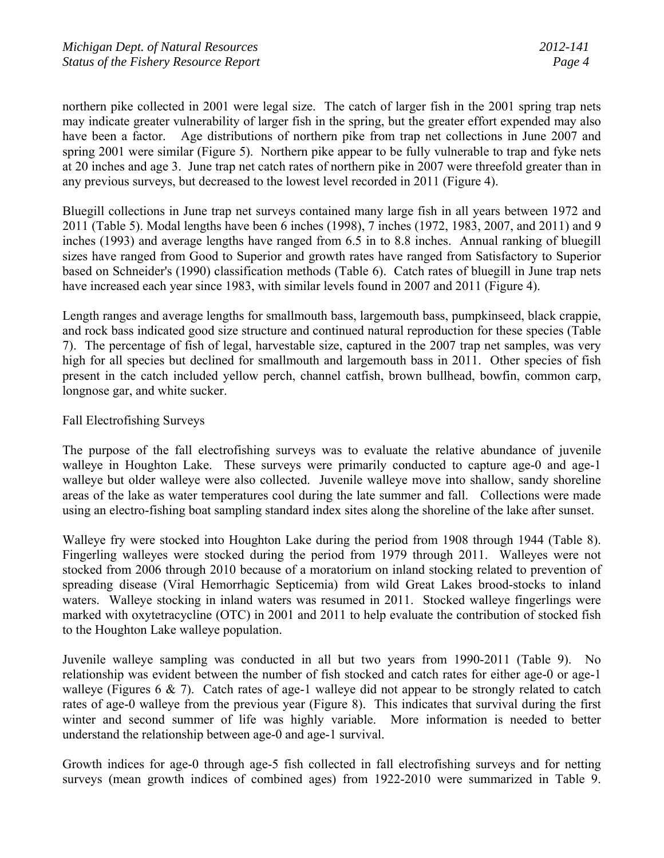northern pike collected in 2001 were legal size. The catch of larger fish in the 2001 spring trap nets may indicate greater vulnerability of larger fish in the spring, but the greater effort expended may also have been a factor. Age distributions of northern pike from trap net collections in June 2007 and spring 2001 were similar (Figure 5). Northern pike appear to be fully vulnerable to trap and fyke nets at 20 inches and age 3. June trap net catch rates of northern pike in 2007 were threefold greater than in any previous surveys, but decreased to the lowest level recorded in 2011 (Figure 4).

Bluegill collections in June trap net surveys contained many large fish in all years between 1972 and 2011 (Table 5). Modal lengths have been 6 inches (1998), 7 inches (1972, 1983, 2007, and 2011) and 9 inches (1993) and average lengths have ranged from 6.5 in to 8.8 inches. Annual ranking of bluegill sizes have ranged from Good to Superior and growth rates have ranged from Satisfactory to Superior based on Schneider's (1990) classification methods (Table 6). Catch rates of bluegill in June trap nets have increased each year since 1983, with similar levels found in 2007 and 2011 (Figure 4).

Length ranges and average lengths for smallmouth bass, largemouth bass, pumpkinseed, black crappie, and rock bass indicated good size structure and continued natural reproduction for these species (Table 7). The percentage of fish of legal, harvestable size, captured in the 2007 trap net samples, was very high for all species but declined for smallmouth and largemouth bass in 2011. Other species of fish present in the catch included yellow perch, channel catfish, brown bullhead, bowfin, common carp, longnose gar, and white sucker.

# Fall Electrofishing Surveys

The purpose of the fall electrofishing surveys was to evaluate the relative abundance of juvenile walleye in Houghton Lake. These surveys were primarily conducted to capture age-0 and age-1 walleye but older walleye were also collected. Juvenile walleye move into shallow, sandy shoreline areas of the lake as water temperatures cool during the late summer and fall. Collections were made using an electro-fishing boat sampling standard index sites along the shoreline of the lake after sunset.

Walleye fry were stocked into Houghton Lake during the period from 1908 through 1944 (Table 8). Fingerling walleyes were stocked during the period from 1979 through 2011. Walleyes were not stocked from 2006 through 2010 because of a moratorium on inland stocking related to prevention of spreading disease (Viral Hemorrhagic Septicemia) from wild Great Lakes brood-stocks to inland waters. Walleye stocking in inland waters was resumed in 2011. Stocked walleye fingerlings were marked with oxytetracycline (OTC) in 2001 and 2011 to help evaluate the contribution of stocked fish to the Houghton Lake walleye population.

Juvenile walleye sampling was conducted in all but two years from 1990-2011 (Table 9). No relationship was evident between the number of fish stocked and catch rates for either age-0 or age-1 walleye (Figures 6  $\& 7$ ). Catch rates of age-1 walleye did not appear to be strongly related to catch rates of age-0 walleye from the previous year (Figure 8). This indicates that survival during the first winter and second summer of life was highly variable. More information is needed to better understand the relationship between age-0 and age-1 survival.

Growth indices for age-0 through age-5 fish collected in fall electrofishing surveys and for netting surveys (mean growth indices of combined ages) from 1922-2010 were summarized in Table 9.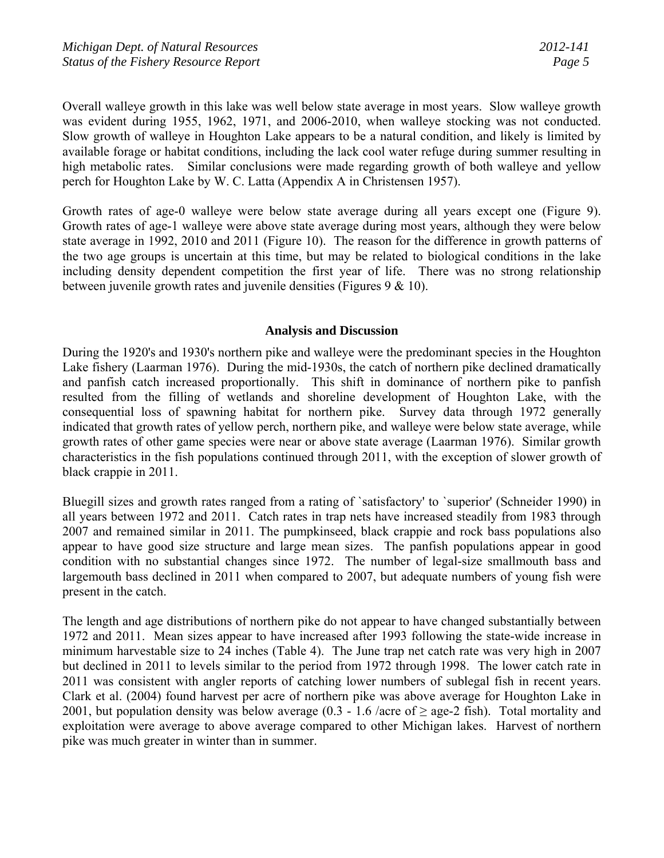Overall walleye growth in this lake was well below state average in most years. Slow walleye growth was evident during 1955, 1962, 1971, and 2006-2010, when walleye stocking was not conducted. Slow growth of walleye in Houghton Lake appears to be a natural condition, and likely is limited by available forage or habitat conditions, including the lack cool water refuge during summer resulting in high metabolic rates. Similar conclusions were made regarding growth of both walleye and yellow perch for Houghton Lake by W. C. Latta (Appendix A in Christensen 1957).

Growth rates of age-0 walleye were below state average during all years except one (Figure 9). Growth rates of age-1 walleye were above state average during most years, although they were below state average in 1992, 2010 and 2011 (Figure 10). The reason for the difference in growth patterns of the two age groups is uncertain at this time, but may be related to biological conditions in the lake including density dependent competition the first year of life. There was no strong relationship between juvenile growth rates and juvenile densities (Figures 9 & 10).

## **Analysis and Discussion**

During the 1920's and 1930's northern pike and walleye were the predominant species in the Houghton Lake fishery (Laarman 1976). During the mid-1930s, the catch of northern pike declined dramatically and panfish catch increased proportionally. This shift in dominance of northern pike to panfish resulted from the filling of wetlands and shoreline development of Houghton Lake, with the consequential loss of spawning habitat for northern pike. Survey data through 1972 generally indicated that growth rates of yellow perch, northern pike, and walleye were below state average, while growth rates of other game species were near or above state average (Laarman 1976). Similar growth characteristics in the fish populations continued through 2011, with the exception of slower growth of black crappie in 2011.

Bluegill sizes and growth rates ranged from a rating of `satisfactory' to `superior' (Schneider 1990) in all years between 1972 and 2011. Catch rates in trap nets have increased steadily from 1983 through 2007 and remained similar in 2011. The pumpkinseed, black crappie and rock bass populations also appear to have good size structure and large mean sizes. The panfish populations appear in good condition with no substantial changes since 1972. The number of legal-size smallmouth bass and largemouth bass declined in 2011 when compared to 2007, but adequate numbers of young fish were present in the catch.

The length and age distributions of northern pike do not appear to have changed substantially between 1972 and 2011. Mean sizes appear to have increased after 1993 following the state-wide increase in minimum harvestable size to 24 inches (Table 4). The June trap net catch rate was very high in 2007 but declined in 2011 to levels similar to the period from 1972 through 1998. The lower catch rate in 2011 was consistent with angler reports of catching lower numbers of sublegal fish in recent years. Clark et al. (2004) found harvest per acre of northern pike was above average for Houghton Lake in 2001, but population density was below average (0.3 - 1.6 /acre of  $\geq$  age-2 fish). Total mortality and exploitation were average to above average compared to other Michigan lakes. Harvest of northern pike was much greater in winter than in summer.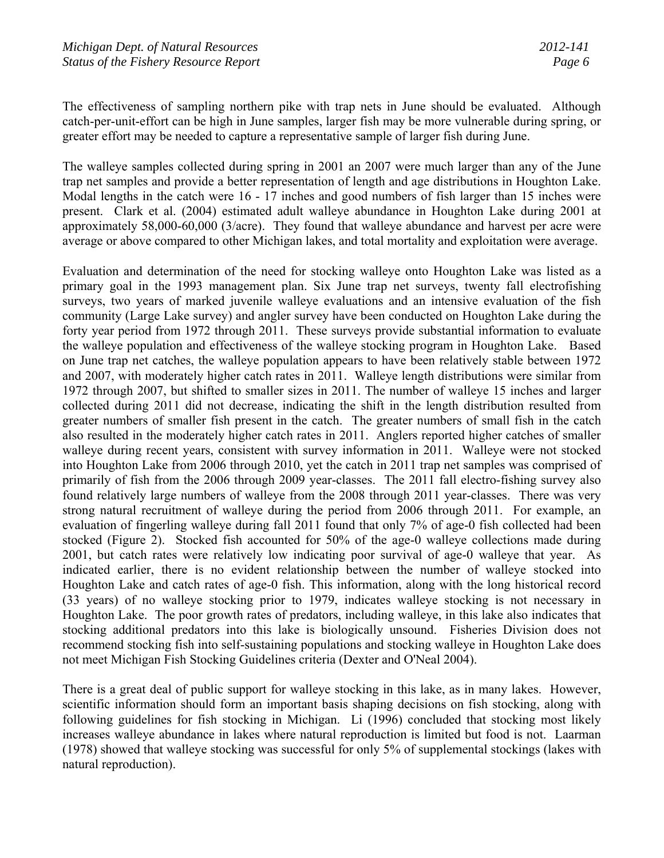The effectiveness of sampling northern pike with trap nets in June should be evaluated. Although catch-per-unit-effort can be high in June samples, larger fish may be more vulnerable during spring, or greater effort may be needed to capture a representative sample of larger fish during June.

The walleye samples collected during spring in 2001 an 2007 were much larger than any of the June trap net samples and provide a better representation of length and age distributions in Houghton Lake. Modal lengths in the catch were 16 - 17 inches and good numbers of fish larger than 15 inches were present. Clark et al. (2004) estimated adult walleye abundance in Houghton Lake during 2001 at approximately 58,000-60,000 (3/acre). They found that walleye abundance and harvest per acre were average or above compared to other Michigan lakes, and total mortality and exploitation were average.

Evaluation and determination of the need for stocking walleye onto Houghton Lake was listed as a primary goal in the 1993 management plan. Six June trap net surveys, twenty fall electrofishing surveys, two years of marked juvenile walleye evaluations and an intensive evaluation of the fish community (Large Lake survey) and angler survey have been conducted on Houghton Lake during the forty year period from 1972 through 2011. These surveys provide substantial information to evaluate the walleye population and effectiveness of the walleye stocking program in Houghton Lake. Based on June trap net catches, the walleye population appears to have been relatively stable between 1972 and 2007, with moderately higher catch rates in 2011. Walleye length distributions were similar from 1972 through 2007, but shifted to smaller sizes in 2011. The number of walleye 15 inches and larger collected during 2011 did not decrease, indicating the shift in the length distribution resulted from greater numbers of smaller fish present in the catch. The greater numbers of small fish in the catch also resulted in the moderately higher catch rates in 2011. Anglers reported higher catches of smaller walleye during recent years, consistent with survey information in 2011. Walleye were not stocked into Houghton Lake from 2006 through 2010, yet the catch in 2011 trap net samples was comprised of primarily of fish from the 2006 through 2009 year-classes. The 2011 fall electro-fishing survey also found relatively large numbers of walleye from the 2008 through 2011 year-classes. There was very strong natural recruitment of walleye during the period from 2006 through 2011. For example, an evaluation of fingerling walleye during fall 2011 found that only 7% of age-0 fish collected had been stocked (Figure 2). Stocked fish accounted for 50% of the age-0 walleye collections made during 2001, but catch rates were relatively low indicating poor survival of age-0 walleye that year. As indicated earlier, there is no evident relationship between the number of walleye stocked into Houghton Lake and catch rates of age-0 fish. This information, along with the long historical record (33 years) of no walleye stocking prior to 1979, indicates walleye stocking is not necessary in Houghton Lake. The poor growth rates of predators, including walleye, in this lake also indicates that stocking additional predators into this lake is biologically unsound. Fisheries Division does not recommend stocking fish into self-sustaining populations and stocking walleye in Houghton Lake does not meet Michigan Fish Stocking Guidelines criteria (Dexter and O'Neal 2004).

There is a great deal of public support for walleye stocking in this lake, as in many lakes. However, scientific information should form an important basis shaping decisions on fish stocking, along with following guidelines for fish stocking in Michigan. Li (1996) concluded that stocking most likely increases walleye abundance in lakes where natural reproduction is limited but food is not. Laarman (1978) showed that walleye stocking was successful for only 5% of supplemental stockings (lakes with natural reproduction).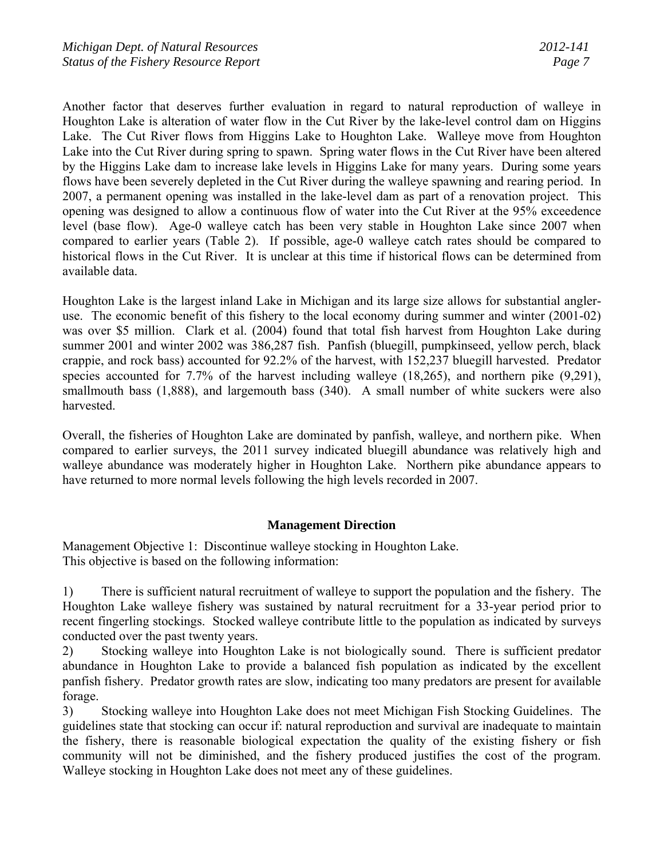Another factor that deserves further evaluation in regard to natural reproduction of walleye in Houghton Lake is alteration of water flow in the Cut River by the lake-level control dam on Higgins Lake. The Cut River flows from Higgins Lake to Houghton Lake. Walleye move from Houghton Lake into the Cut River during spring to spawn. Spring water flows in the Cut River have been altered by the Higgins Lake dam to increase lake levels in Higgins Lake for many years. During some years flows have been severely depleted in the Cut River during the walleye spawning and rearing period. In 2007, a permanent opening was installed in the lake-level dam as part of a renovation project. This opening was designed to allow a continuous flow of water into the Cut River at the 95% exceedence level (base flow). Age-0 walleye catch has been very stable in Houghton Lake since 2007 when compared to earlier years (Table 2). If possible, age-0 walleye catch rates should be compared to historical flows in the Cut River. It is unclear at this time if historical flows can be determined from available data.

Houghton Lake is the largest inland Lake in Michigan and its large size allows for substantial angleruse. The economic benefit of this fishery to the local economy during summer and winter (2001-02) was over \$5 million. Clark et al. (2004) found that total fish harvest from Houghton Lake during summer 2001 and winter 2002 was 386,287 fish. Panfish (bluegill, pumpkinseed, yellow perch, black crappie, and rock bass) accounted for 92.2% of the harvest, with 152,237 bluegill harvested. Predator species accounted for 7.7% of the harvest including walleye (18,265), and northern pike (9,291), smallmouth bass (1,888), and largemouth bass (340). A small number of white suckers were also harvested.

Overall, the fisheries of Houghton Lake are dominated by panfish, walleye, and northern pike. When compared to earlier surveys, the 2011 survey indicated bluegill abundance was relatively high and walleye abundance was moderately higher in Houghton Lake. Northern pike abundance appears to have returned to more normal levels following the high levels recorded in 2007.

# **Management Direction**

Management Objective 1: Discontinue walleye stocking in Houghton Lake. This objective is based on the following information:

1) There is sufficient natural recruitment of walleye to support the population and the fishery. The Houghton Lake walleye fishery was sustained by natural recruitment for a 33-year period prior to recent fingerling stockings. Stocked walleye contribute little to the population as indicated by surveys conducted over the past twenty years.

2) Stocking walleye into Houghton Lake is not biologically sound. There is sufficient predator abundance in Houghton Lake to provide a balanced fish population as indicated by the excellent panfish fishery. Predator growth rates are slow, indicating too many predators are present for available forage.

3) Stocking walleye into Houghton Lake does not meet Michigan Fish Stocking Guidelines. The guidelines state that stocking can occur if: natural reproduction and survival are inadequate to maintain the fishery, there is reasonable biological expectation the quality of the existing fishery or fish community will not be diminished, and the fishery produced justifies the cost of the program. Walleye stocking in Houghton Lake does not meet any of these guidelines.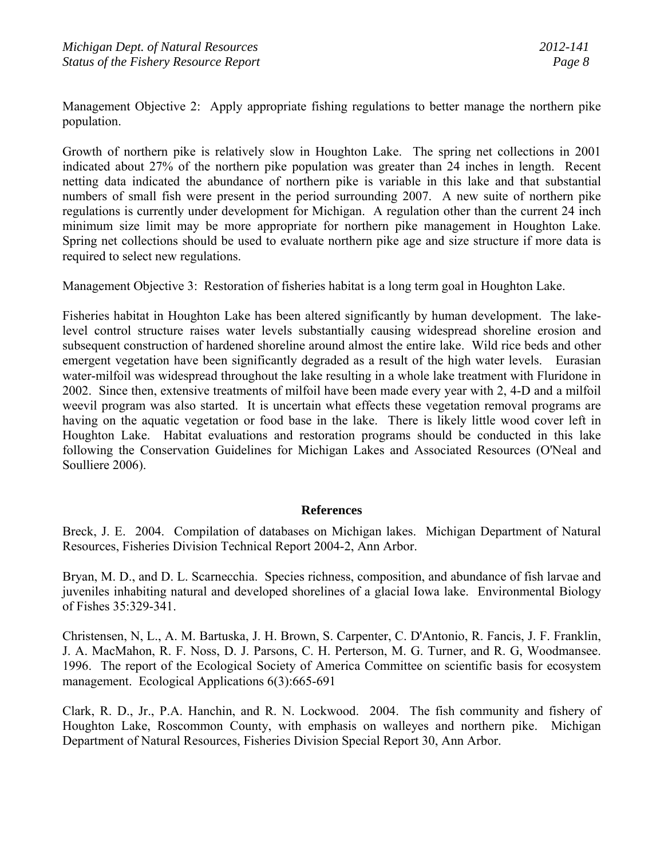Management Objective 2: Apply appropriate fishing regulations to better manage the northern pike population.

Growth of northern pike is relatively slow in Houghton Lake. The spring net collections in 2001 indicated about 27% of the northern pike population was greater than 24 inches in length. Recent netting data indicated the abundance of northern pike is variable in this lake and that substantial numbers of small fish were present in the period surrounding 2007. A new suite of northern pike regulations is currently under development for Michigan. A regulation other than the current 24 inch minimum size limit may be more appropriate for northern pike management in Houghton Lake. Spring net collections should be used to evaluate northern pike age and size structure if more data is required to select new regulations.

Management Objective 3: Restoration of fisheries habitat is a long term goal in Houghton Lake.

Fisheries habitat in Houghton Lake has been altered significantly by human development. The lakelevel control structure raises water levels substantially causing widespread shoreline erosion and subsequent construction of hardened shoreline around almost the entire lake. Wild rice beds and other emergent vegetation have been significantly degraded as a result of the high water levels. Eurasian water-milfoil was widespread throughout the lake resulting in a whole lake treatment with Fluridone in 2002. Since then, extensive treatments of milfoil have been made every year with 2, 4-D and a milfoil weevil program was also started. It is uncertain what effects these vegetation removal programs are having on the aquatic vegetation or food base in the lake. There is likely little wood cover left in Houghton Lake. Habitat evaluations and restoration programs should be conducted in this lake following the Conservation Guidelines for Michigan Lakes and Associated Resources (O'Neal and Soulliere 2006).

### **References**

Breck, J. E. 2004. Compilation of databases on Michigan lakes. Michigan Department of Natural Resources, Fisheries Division Technical Report 2004-2, Ann Arbor.

Bryan, M. D., and D. L. Scarnecchia. Species richness, composition, and abundance of fish larvae and juveniles inhabiting natural and developed shorelines of a glacial Iowa lake. Environmental Biology of Fishes 35:329-341.

Christensen, N, L., A. M. Bartuska, J. H. Brown, S. Carpenter, C. D'Antonio, R. Fancis, J. F. Franklin, J. A. MacMahon, R. F. Noss, D. J. Parsons, C. H. Perterson, M. G. Turner, and R. G, Woodmansee. 1996. The report of the Ecological Society of America Committee on scientific basis for ecosystem management. Ecological Applications 6(3):665-691

Clark, R. D., Jr., P.A. Hanchin, and R. N. Lockwood. 2004. The fish community and fishery of Houghton Lake, Roscommon County, with emphasis on walleyes and northern pike. Michigan Department of Natural Resources, Fisheries Division Special Report 30, Ann Arbor.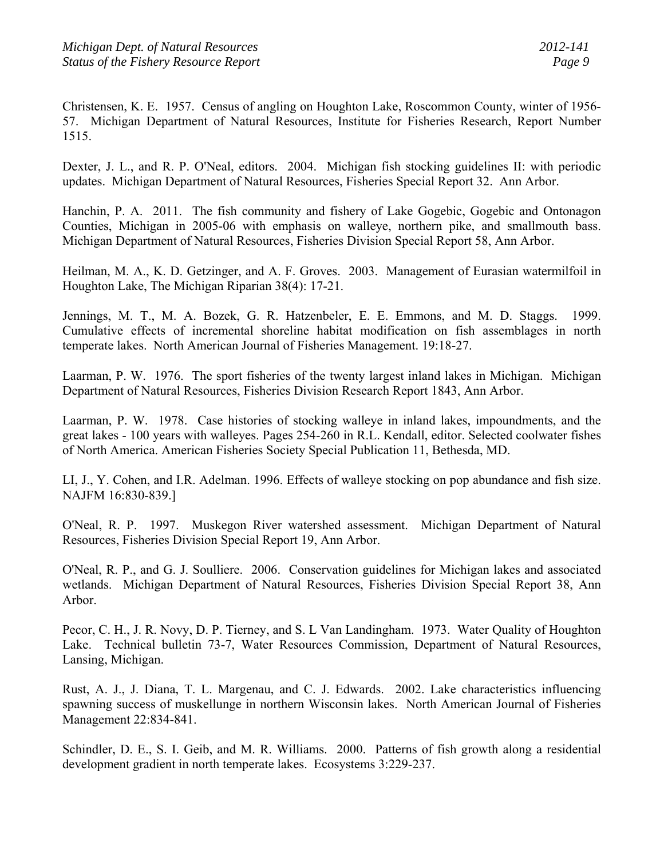Christensen, K. E. 1957. Census of angling on Houghton Lake, Roscommon County, winter of 1956- 57. Michigan Department of Natural Resources, Institute for Fisheries Research, Report Number 1515.

Dexter, J. L., and R. P. O'Neal, editors. 2004. Michigan fish stocking guidelines II: with periodic updates. Michigan Department of Natural Resources, Fisheries Special Report 32. Ann Arbor.

Hanchin, P. A. 2011. The fish community and fishery of Lake Gogebic, Gogebic and Ontonagon Counties, Michigan in 2005-06 with emphasis on walleye, northern pike, and smallmouth bass. Michigan Department of Natural Resources, Fisheries Division Special Report 58, Ann Arbor.

Heilman, M. A., K. D. Getzinger, and A. F. Groves. 2003. Management of Eurasian watermilfoil in Houghton Lake, The Michigan Riparian 38(4): 17-21.

Jennings, M. T., M. A. Bozek, G. R. Hatzenbeler, E. E. Emmons, and M. D. Staggs. 1999. Cumulative effects of incremental shoreline habitat modification on fish assemblages in north temperate lakes. North American Journal of Fisheries Management. 19:18-27.

Laarman, P. W. 1976. The sport fisheries of the twenty largest inland lakes in Michigan. Michigan Department of Natural Resources, Fisheries Division Research Report 1843, Ann Arbor.

Laarman, P. W. 1978. Case histories of stocking walleye in inland lakes, impoundments, and the great lakes - 100 years with walleyes. Pages 254-260 in R.L. Kendall, editor. Selected coolwater fishes of North America. American Fisheries Society Special Publication 11, Bethesda, MD.

LI, J., Y. Cohen, and I.R. Adelman. 1996. Effects of walleye stocking on pop abundance and fish size. NAJFM 16:830-839.]

O'Neal, R. P. 1997. Muskegon River watershed assessment. Michigan Department of Natural Resources, Fisheries Division Special Report 19, Ann Arbor.

O'Neal, R. P., and G. J. Soulliere. 2006. Conservation guidelines for Michigan lakes and associated wetlands. Michigan Department of Natural Resources, Fisheries Division Special Report 38, Ann Arbor.

Pecor, C. H., J. R. Novy, D. P. Tierney, and S. L Van Landingham. 1973. Water Quality of Houghton Lake. Technical bulletin 73-7, Water Resources Commission, Department of Natural Resources, Lansing, Michigan.

Rust, A. J., J. Diana, T. L. Margenau, and C. J. Edwards. 2002. Lake characteristics influencing spawning success of muskellunge in northern Wisconsin lakes. North American Journal of Fisheries Management 22:834-841.

Schindler, D. E., S. I. Geib, and M. R. Williams. 2000. Patterns of fish growth along a residential development gradient in north temperate lakes. Ecosystems 3:229-237.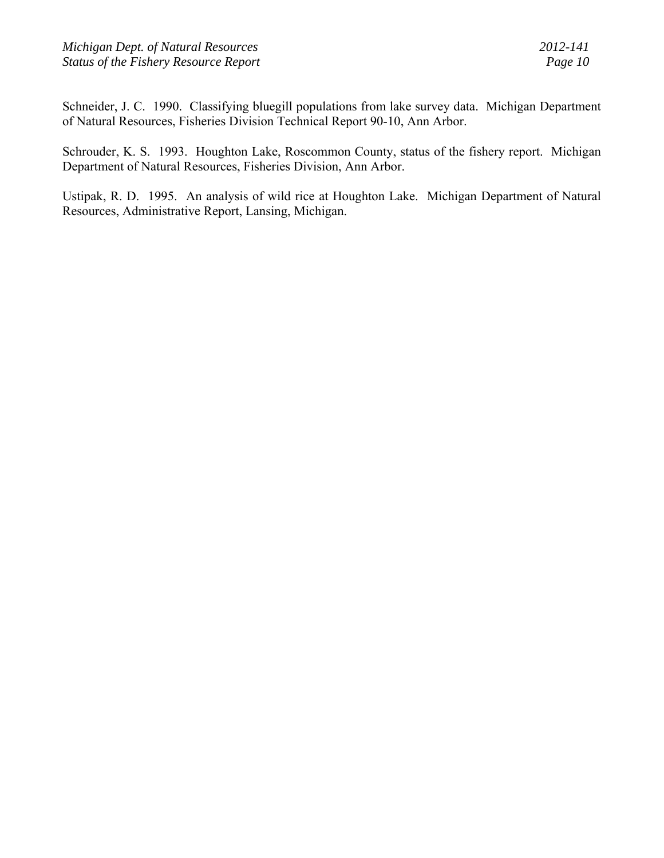Schneider, J. C. 1990. Classifying bluegill populations from lake survey data. Michigan Department of Natural Resources, Fisheries Division Technical Report 90-10, Ann Arbor.

Schrouder, K. S. 1993. Houghton Lake, Roscommon County, status of the fishery report. Michigan Department of Natural Resources, Fisheries Division, Ann Arbor.

Ustipak, R. D. 1995. An analysis of wild rice at Houghton Lake. Michigan Department of Natural Resources, Administrative Report, Lansing, Michigan.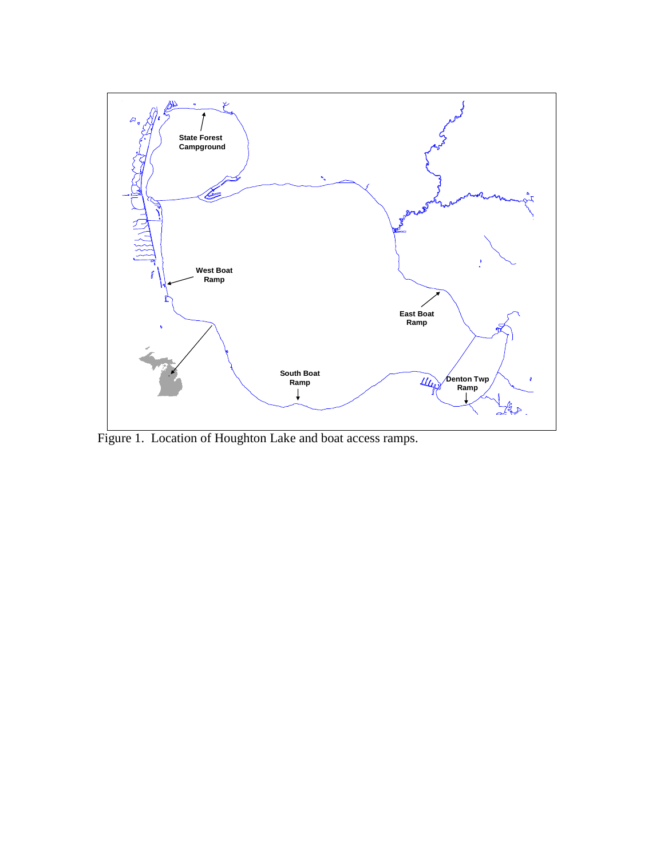

Figure 1. Location of Houghton Lake and boat access ramps.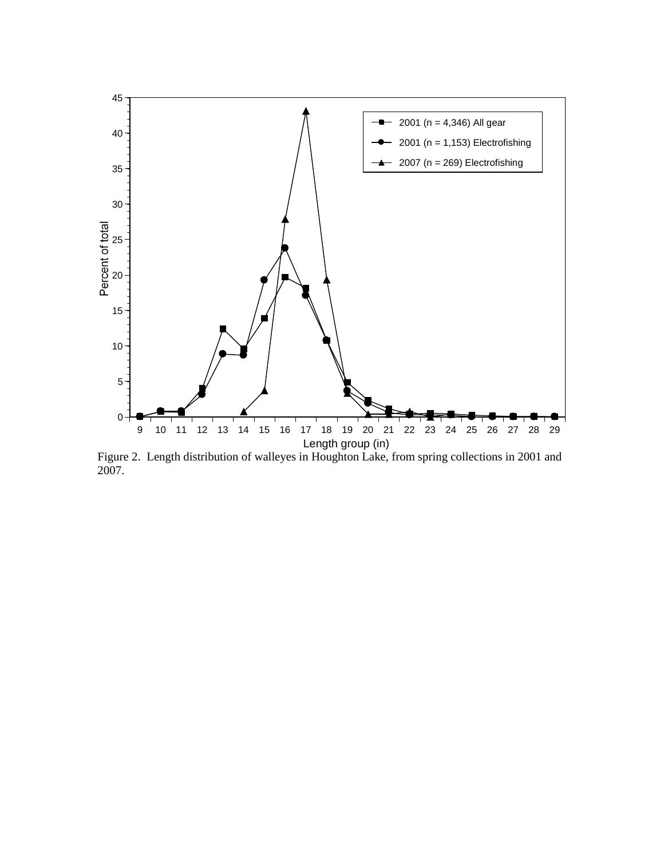

Figure 2. Length distribution of walleyes in Houghton Lake, from spring collections in 2001 and 2007.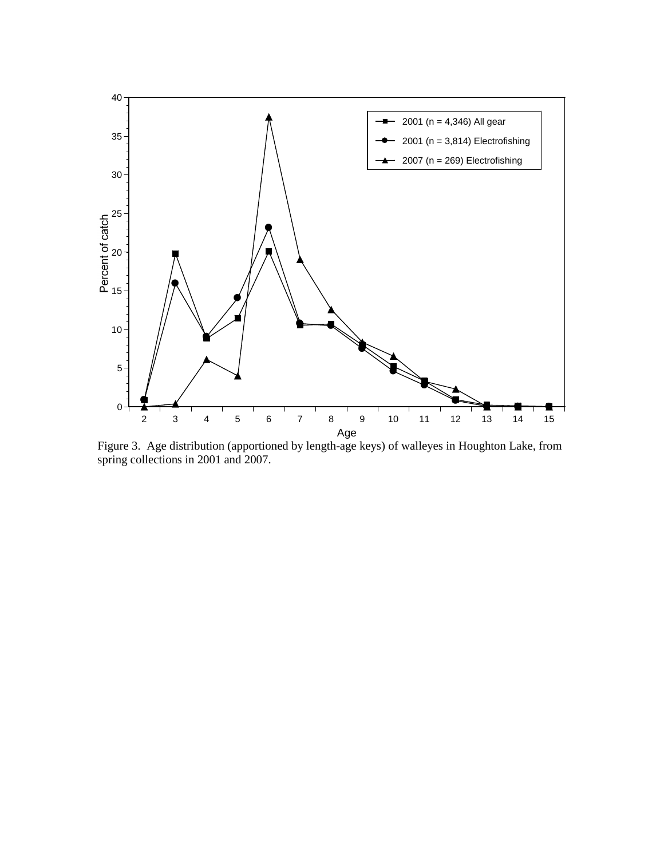

Figure 3. Age distribution (apportioned by length-age keys) of walleyes in Houghton Lake, from spring collections in 2001 and 2007.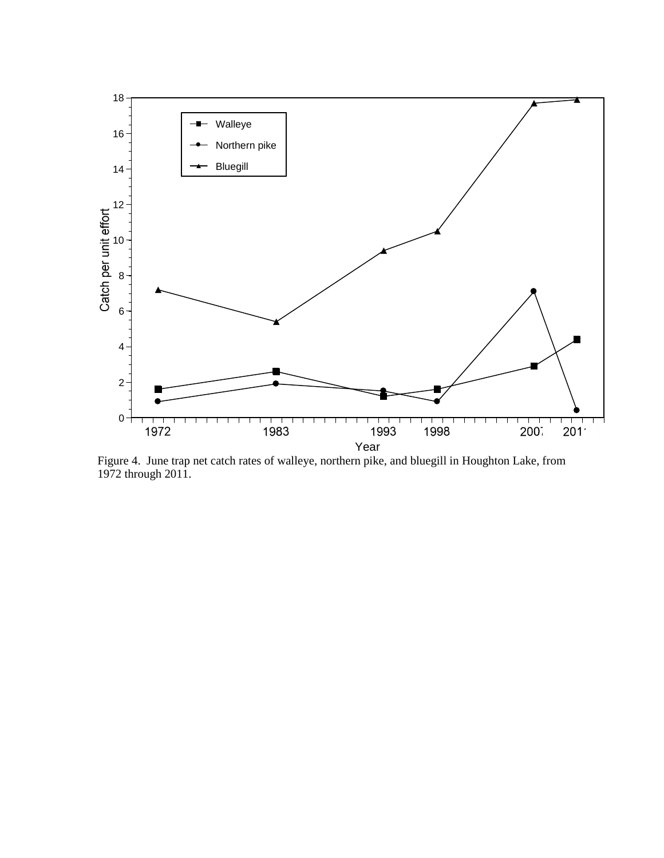

Figure 4. June trap net catch rates of walleye, northern pike, and bluegill in Houghton Lake, from 1972 through 2011.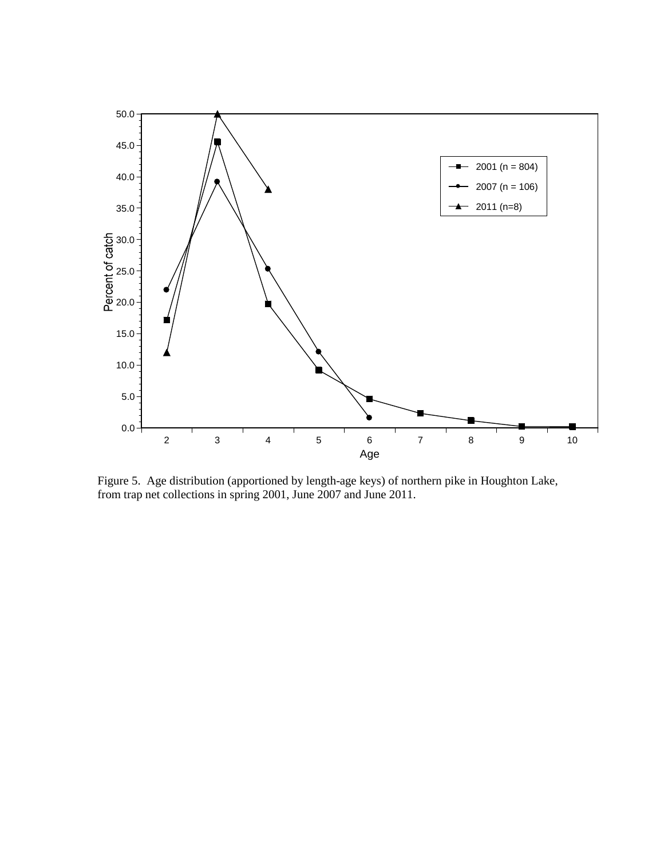

Figure 5. Age distribution (apportioned by length-age keys) of northern pike in Houghton Lake, from trap net collections in spring 2001, June 2007 and June 2011.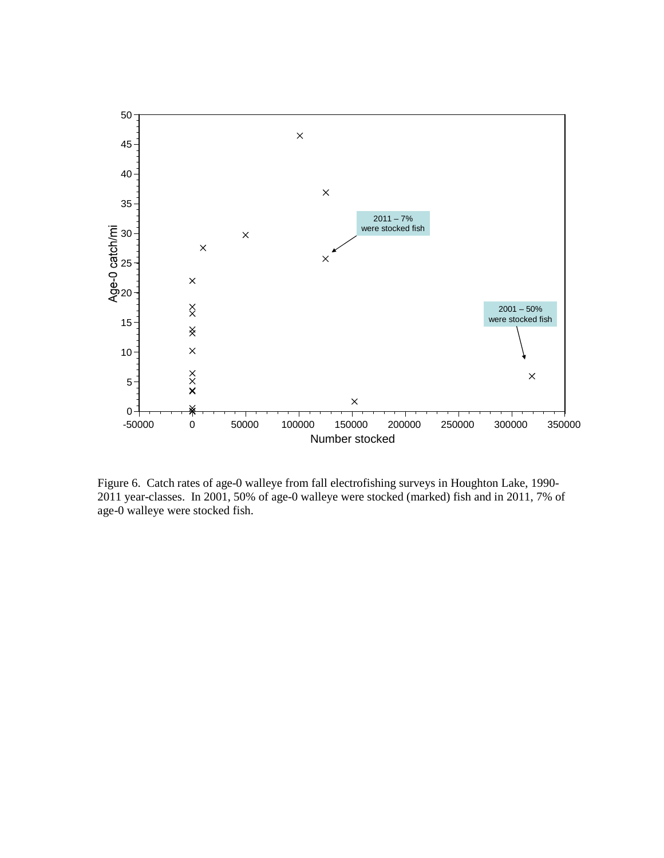

Figure 6. Catch rates of age-0 walleye from fall electrofishing surveys in Houghton Lake, 1990- 2011 year-classes. In 2001, 50% of age-0 walleye were stocked (marked) fish and in 2011, 7% of age-0 walleye were stocked fish.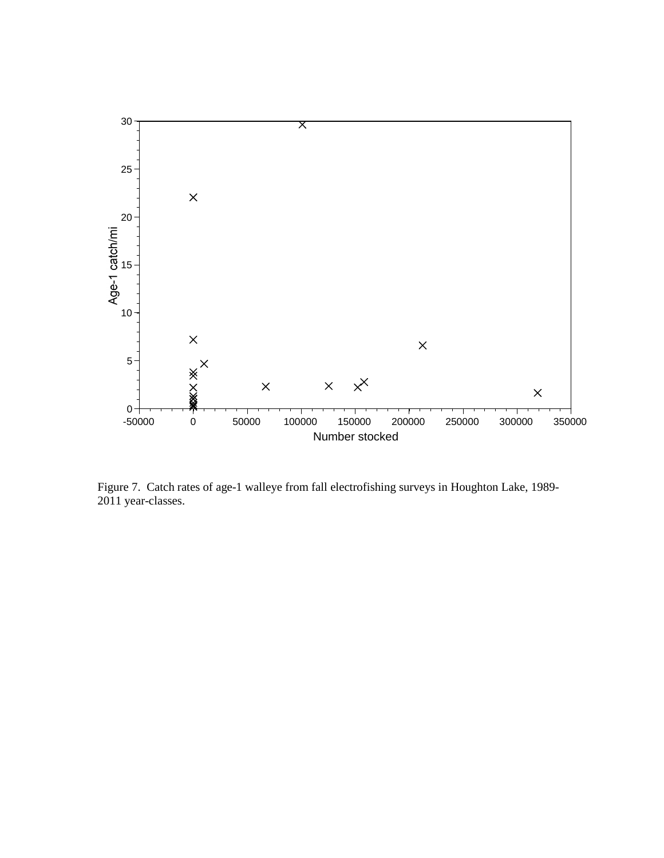

Figure 7. Catch rates of age-1 walleye from fall electrofishing surveys in Houghton Lake, 1989- 2011 year-classes.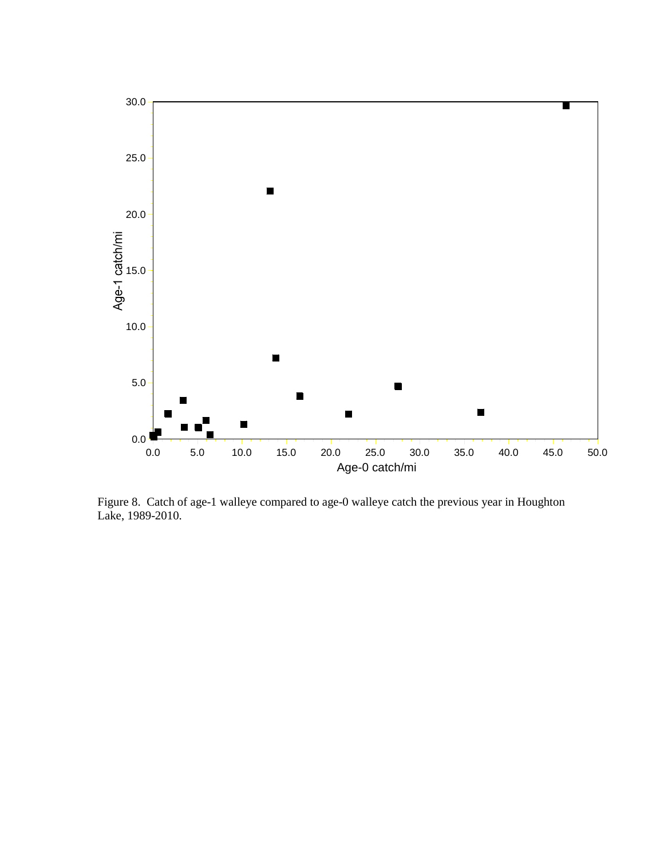

Figure 8. Catch of age-1 walleye compared to age-0 walleye catch the previous year in Houghton Lake, 1989-2010.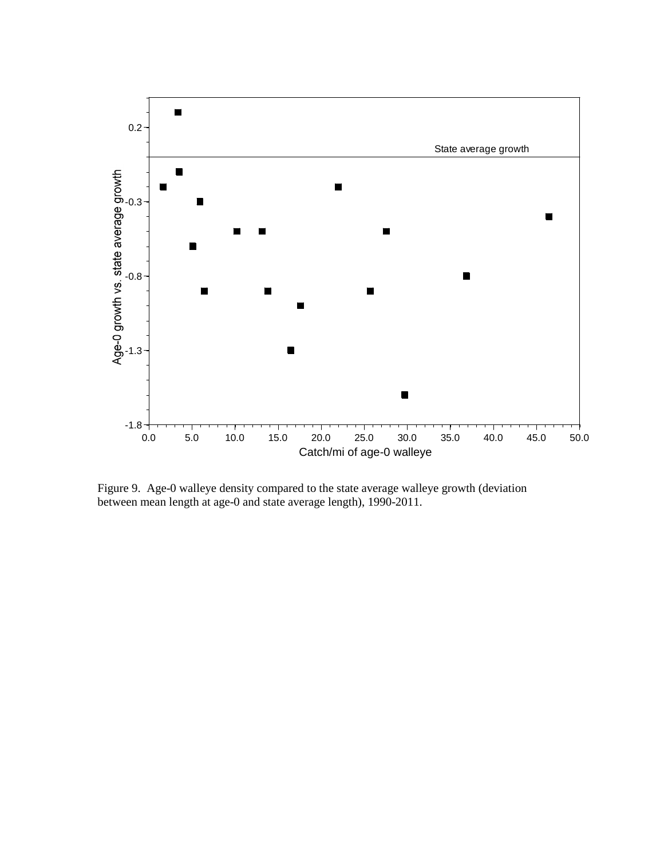

Figure 9. Age-0 walleye density compared to the state average walleye growth (deviation between mean length at age-0 and state average length), 1990-2011.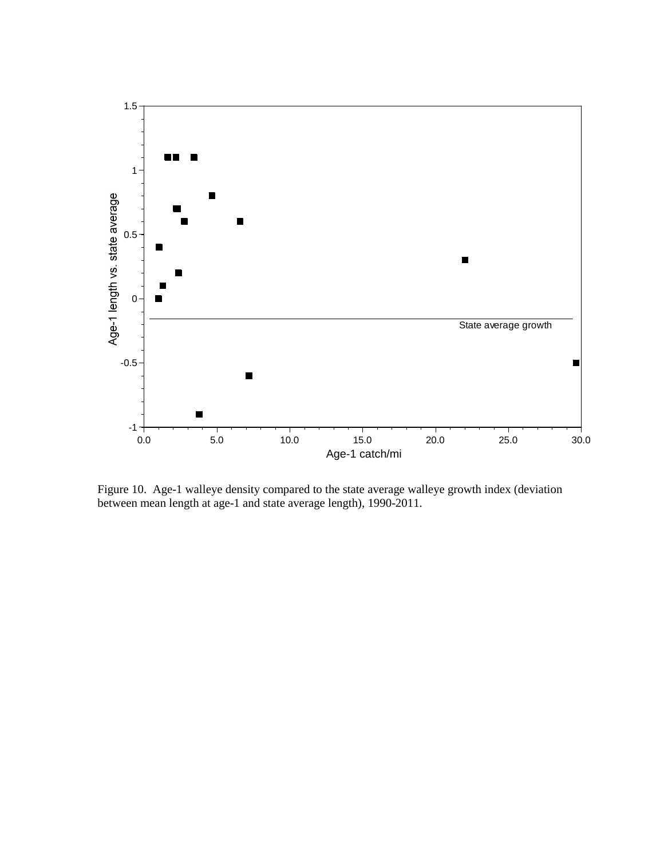

Figure 10. Age-1 walleye density compared to the state average walleye growth index (deviation between mean length at age-1 and state average length), 1990-2011.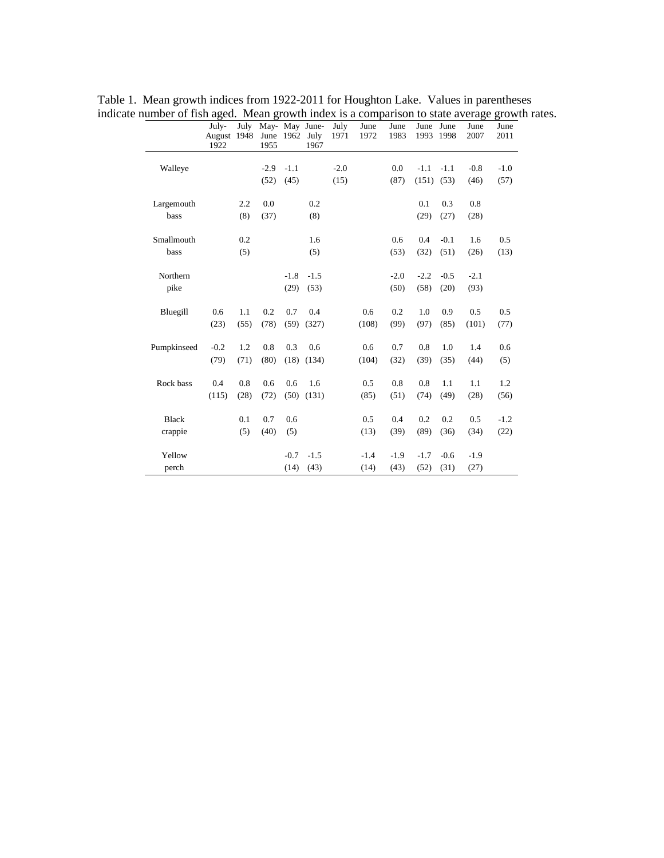|              | July-<br>August 1948<br>1922 | July | June 1962<br>1955 |        | May- May June-<br>July<br>1967 | July<br>1971 | June<br>1972 | June<br>1983 | June June<br>1993 | 1998   | June<br>2007 | June<br>2011 |
|--------------|------------------------------|------|-------------------|--------|--------------------------------|--------------|--------------|--------------|-------------------|--------|--------------|--------------|
| Walleye      |                              |      | $-2.9$            | $-1.1$ |                                | $-2.0$       |              | 0.0          | $-1.1$            | $-1.1$ | $-0.8$       | $-1.0$       |
|              |                              |      | (52)              | (45)   |                                | (15)         |              | (87)         | (151)             | (53)   | (46)         | (57)         |
| Largemouth   |                              | 2.2  | 0.0               |        | 0.2                            |              |              |              | 0.1               | 0.3    | 0.8          |              |
| bass         |                              | (8)  | (37)              |        | (8)                            |              |              |              | (29)              | (27)   | (28)         |              |
| Smallmouth   |                              | 0.2  |                   |        | 1.6                            |              |              | 0.6          | 0.4               | $-0.1$ | 1.6          | 0.5          |
| bass         |                              | (5)  |                   |        | (5)                            |              |              | (53)         | (32)              | (51)   | (26)         | (13)         |
| Northern     |                              |      |                   | $-1.8$ | $-1.5$                         |              |              | $-2.0$       | $-2.2$            | $-0.5$ | $-2.1$       |              |
| pike         |                              |      |                   | (29)   | (53)                           |              |              | (50)         | (58)              | (20)   | (93)         |              |
| Bluegill     | 0.6                          | 1.1  | 0.2               | 0.7    | 0.4                            |              | 0.6          | 0.2          | 1.0               | 0.9    | 0.5          | 0.5          |
|              | (23)                         | (55) | (78)              | (59)   | (327)                          |              | (108)        | (99)         | (97)              | (85)   | (101)        | (77)         |
| Pumpkinseed  | $-0.2$                       | 1.2  | 0.8               | 0.3    | 0.6                            |              | 0.6          | 0.7          | 0.8               | 1.0    | 1.4          | 0.6          |
|              | (79)                         | (71) | (80)              | (18)   | (134)                          |              | (104)        | (32)         | (39)              | (35)   | (44)         | (5)          |
| Rock bass    | 0.4                          | 0.8  | 0.6               | 0.6    | 1.6                            |              | 0.5          | 0.8          | 0.8               | 1.1    | 1.1          | 1.2          |
|              | (115)                        | (28) | (72)              | (50)   | (131)                          |              | (85)         | (51)         | (74)              | (49)   | (28)         | (56)         |
| <b>Black</b> |                              | 0.1  | 0.7               | 0.6    |                                |              | 0.5          | 0.4          | 0.2               | 0.2    | 0.5          | $-1.2$       |
| crappie      |                              | (5)  | (40)              | (5)    |                                |              | (13)         | (39)         | (89)              | (36)   | (34)         | (22)         |
| Yellow       |                              |      |                   | $-0.7$ | $-1.5$                         |              | $-1.4$       | $-1.9$       | $-1.7$            | $-0.6$ | $-1.9$       |              |
| perch        |                              |      |                   | (14)   | (43)                           |              | (14)         | (43)         | (52)              | (31)   | (27)         |              |

Table 1. Mean growth indices from 1922-2011 for Houghton Lake. Values in parentheses indicate number of fish aged. Mean growth index is a comparison to state average growth rates.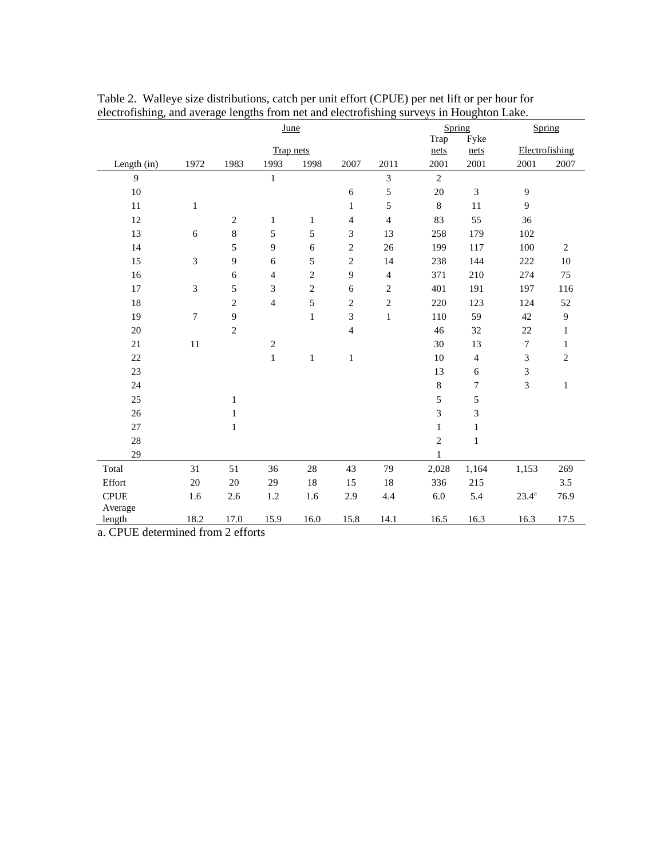| June        |                |                |                |                |                |                |                | Spring                      | Spring                      |                  |
|-------------|----------------|----------------|----------------|----------------|----------------|----------------|----------------|-----------------------------|-----------------------------|------------------|
|             |                |                |                |                |                |                | Trap           | Fyke                        |                             |                  |
|             |                |                | Trap nets      |                |                |                | nets           | nets                        | Electrofishing              |                  |
| Length (in) | 1972           | 1983           | 1993           | 1998           | 2007           | 2011           | 2001           | 2001                        | 2001                        | 2007             |
| 9           |                |                | $\mathbf{1}$   |                |                | $\mathfrak{Z}$ | $\overline{2}$ |                             |                             |                  |
| 10          |                |                |                |                | $\sqrt{6}$     | 5              | $20\,$         | $\ensuremath{\mathfrak{Z}}$ | $\boldsymbol{9}$            |                  |
| 11          | $\mathbf{1}$   |                |                |                | $\mathbf{1}$   | 5              | $\,8\,$        | 11                          | 9                           |                  |
| 12          |                | $\sqrt{2}$     | $\mathbf{1}$   | $\mathbf{1}$   | 4              | $\overline{4}$ | 83             | 55                          | 36                          |                  |
| 13          | 6              | $\,8\,$        | 5              | 5              | 3              | 13             | 258            | 179                         | 102                         |                  |
| 14          |                | 5              | $\overline{9}$ | 6              | $\mathbf{2}$   | 26             | 199            | 117                         | 100                         | $\overline{c}$   |
| 15          | $\mathfrak{Z}$ | 9              | 6              | 5              | $\sqrt{2}$     | 14             | 238            | 144                         | 222                         | $10\,$           |
| 16          |                | 6              | $\overline{4}$ | $\overline{c}$ | 9              | $\overline{4}$ | 371            | 210                         | 274                         | 75               |
| 17          | 3              | 5              | 3              | $\overline{c}$ | 6              | $\overline{c}$ | 401            | 191                         | 197                         | 116              |
| 18          |                | $\sqrt{2}$     | $\overline{4}$ | 5              | $\sqrt{2}$     | $\sqrt{2}$     | 220            | 123                         | 124                         | 52               |
| 19          | $\tau$         | 9              |                | $\mathbf{1}$   | 3              | $\,1$          | 110            | 59                          | 42                          | $\boldsymbol{9}$ |
| 20          |                | $\overline{c}$ |                |                | $\overline{4}$ |                | 46             | 32                          | 22                          | $\mathbf{1}$     |
| 21          | 11             |                | $\sqrt{2}$     |                |                |                | 30             | 13                          | $\overline{7}$              | $\mathbf{1}$     |
| 22          |                |                | $\mathbf 1$    | $\mathbf{1}$   | $\mathbf{1}$   |                | 10             | 4                           | $\sqrt{3}$                  | $\overline{2}$   |
| 23          |                |                |                |                |                |                | 13             | $\sqrt{6}$                  | $\ensuremath{\mathfrak{Z}}$ |                  |
| 24          |                |                |                |                |                |                | $\,8$          | $\boldsymbol{7}$            | $\mathfrak{Z}$              | $\mathbf{1}$     |
| 25          |                | $\mathbf{1}$   |                |                |                |                | 5              | 5                           |                             |                  |
| 26          |                | $\mathbf{1}$   |                |                |                |                | 3              | 3                           |                             |                  |
| 27          |                | $\mathbf{1}$   |                |                |                |                | $\mathbf{1}$   | $\mathbf{1}$                |                             |                  |
| 28          |                |                |                |                |                |                | $\overline{c}$ | $\mathbf{1}$                |                             |                  |
| 29          |                |                |                |                |                |                | $\mathbf{1}$   |                             |                             |                  |
| Total       | 31             | 51             | 36             | 28             | 43             | 79             | 2,028          | 1,164                       | 1,153                       | 269              |
| Effort      | $20\,$         | $20\,$         | 29             | 18             | 15             | 18             | 336            | 215                         |                             | 3.5              |
| <b>CPUE</b> | 1.6            | 2.6            | 1.2            | 1.6            | 2.9            | 4.4            | $6.0\,$        | 5.4                         | $23.4^{a}$                  | 76.9             |
| Average     |                |                |                |                |                |                |                |                             |                             |                  |
| length      | 18.2           | 17.0           | 15.9           | 16.0           | 15.8           | 14.1           | 16.5           | 16.3                        | 16.3                        | 17.5             |

Table 2. Walleye size distributions, catch per unit effort (CPUE) per net lift or per hour for electrofishing, and average lengths from net and electrofishing surveys in Houghton Lake.

a. CPUE determined from 2 efforts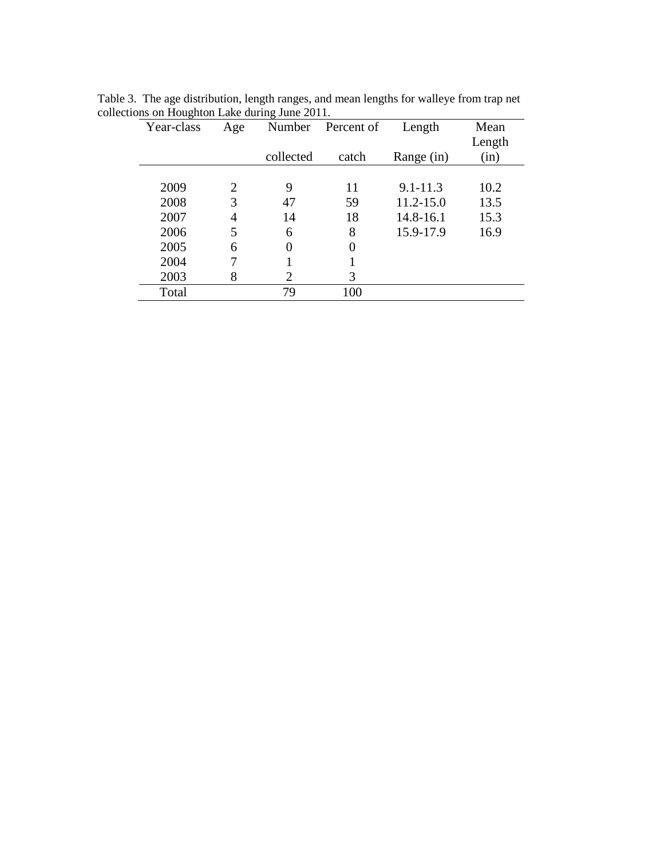| Year-class | Age |           | Percent of | Length        | Mean   |
|------------|-----|-----------|------------|---------------|--------|
|            |     |           |            |               | Length |
|            |     | collected | catch      | Range (in)    | (in)   |
|            |     |           |            |               |        |
| 2009       | 2   | 9         | 11         | $9.1 - 11.3$  | 10.2   |
| 2008       | 3   | 47        | 59         | $11.2 - 15.0$ | 13.5   |
| 2007       | 4   | 14        | 18         | 14.8-16.1     | 15.3   |
| 2006       | 5   | 6         | 8          | 15.9-17.9     | 16.9   |
| 2005       | 6   | $\theta$  | $\theta$   |               |        |
| 2004       |     |           |            |               |        |
| 2003       | 8   | 2         | 3          |               |        |
| Total      |     | 79        | 100        |               |        |

Table 3. The age distribution, length ranges, and mean lengths for walleye from trap net collections on Houghton Lake during June 2011.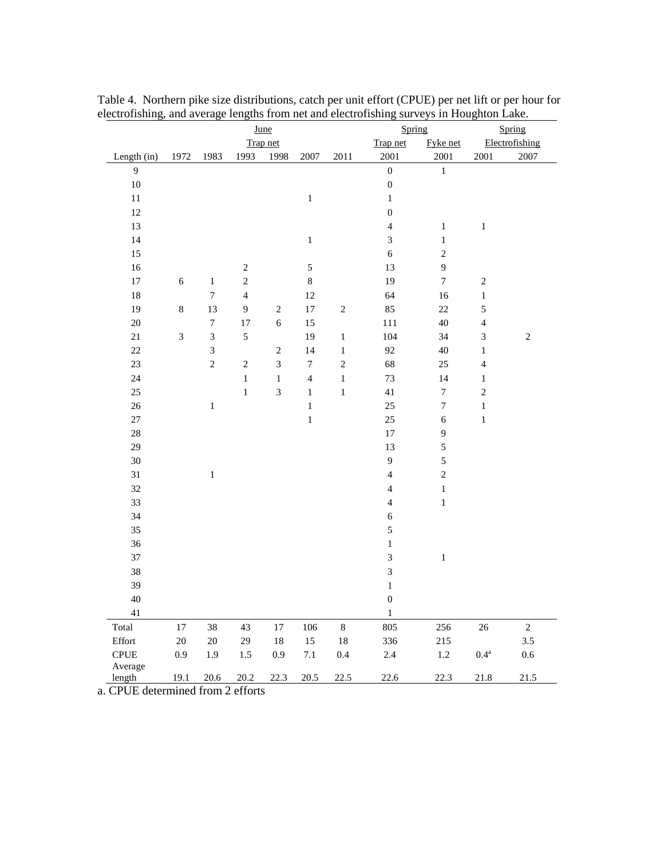| June              |                |                  |                         |                |                  |            | Spring<br>Spring        |                  |                |                |
|-------------------|----------------|------------------|-------------------------|----------------|------------------|------------|-------------------------|------------------|----------------|----------------|
|                   |                |                  |                         | Trap net       |                  |            | Trap net                | Fyke net         |                | Electrofishing |
| Length (in)       | 1972           | 1983             | 1993                    | 1998           | 2007             | 2011       | 2001                    | 2001             | 2001           | 2007           |
| $\overline{9}$    |                |                  |                         |                |                  |            | $\boldsymbol{0}$        | $\,1$            |                |                |
| 10                |                |                  |                         |                |                  |            | $\boldsymbol{0}$        |                  |                |                |
| $11\,$            |                |                  |                         |                | $\,1$            |            | $\,1$                   |                  |                |                |
| 12                |                |                  |                         |                |                  |            | $\boldsymbol{0}$        |                  |                |                |
| 13                |                |                  |                         |                |                  |            | $\overline{4}$          | $\,1$            | $\,1$          |                |
| 14                |                |                  |                         |                | $\,1\,$          |            | $\overline{\mathbf{3}}$ | $\,1$            |                |                |
| 15                |                |                  |                         |                |                  |            | $\sqrt{6}$              | $\sqrt{2}$       |                |                |
| 16                |                |                  | $\sqrt{2}$              |                | 5                |            | 13                      | $\boldsymbol{9}$ |                |                |
| 17                | $\overline{6}$ | $\,1$            | $\overline{c}$          |                | $\,8\,$          |            | 19                      | $\boldsymbol{7}$ | $\sqrt{2}$     |                |
| 18                |                | $\boldsymbol{7}$ | $\overline{\mathbf{4}}$ |                | 12               |            | 64                      | 16               | $\,1\,$        |                |
| 19                | 8              | 13               | $\mathbf{9}$            | $\sqrt{2}$     | 17               | $\sqrt{2}$ | 85                      | 22               | 5              |                |
| 20                |                | $\boldsymbol{7}$ | 17                      | $\sqrt{6}$     | 15               |            | 111                     | 40               | $\overline{4}$ |                |
| $21\,$            | 3              | $\overline{3}$   | $\sqrt{5}$              |                | 19               | $\,1\,$    | 104                     | 34               | 3              | $\sqrt{2}$     |
| 22                |                | $\overline{3}$   |                         | $\sqrt{2}$     | 14               | $\,1\,$    | 92                      | 40               | $\,1$          |                |
| 23                |                | $\sqrt{2}$       | $\sqrt{2}$              | $\mathfrak{Z}$ | $\boldsymbol{7}$ | $\sqrt{2}$ | 68                      | 25               | $\overline{4}$ |                |
| 24                |                |                  | $\mathbf{1}$            | $\,1$          | $\overline{4}$   | $\,1\,$    | 73                      | 14               | $\,1\,$        |                |
| 25                |                |                  | $\,1$                   | $\overline{3}$ | $\,1$            | $\,1\,$    | 41                      | $\boldsymbol{7}$ | $\overline{c}$ |                |
| 26                |                | $\,1$            |                         |                | $\,$ 1 $\,$      |            | 25                      | $\boldsymbol{7}$ | $\,1$          |                |
| 27                |                |                  |                         |                | $\mathbf 1$      |            | 25                      | $\sqrt{6}$       | $\,1\,$        |                |
| 28                |                |                  |                         |                |                  |            | 17                      | $\boldsymbol{9}$ |                |                |
| 29                |                |                  |                         |                |                  |            | 13                      | 5                |                |                |
| 30                |                |                  |                         |                |                  |            | $\mathbf{9}$            | 5                |                |                |
| 31                |                | $\,1$            |                         |                |                  |            | $\overline{4}$          | $\sqrt{2}$       |                |                |
| 32                |                |                  |                         |                |                  |            | $\overline{4}$          | $\,1$            |                |                |
| 33                |                |                  |                         |                |                  |            | $\overline{4}$          | $\,1$            |                |                |
| 34                |                |                  |                         |                |                  |            | $\sqrt{6}$              |                  |                |                |
| 35                |                |                  |                         |                |                  |            | 5                       |                  |                |                |
| 36                |                |                  |                         |                |                  |            | $\,1$                   |                  |                |                |
| 37                |                |                  |                         |                |                  |            | 3                       | $\,1\,$          |                |                |
| 38                |                |                  |                         |                |                  |            | 3                       |                  |                |                |
| 39                |                |                  |                         |                |                  |            | $\,1$                   |                  |                |                |
| 40                |                |                  |                         |                |                  |            | $\boldsymbol{0}$        |                  |                |                |
| $41\,$            |                |                  |                         |                |                  |            | $\,1$                   |                  |                |                |
| Total             | 17             | 38               | 43                      | $17\,$         | 106              | $\,8\,$    | 805                     | 256              | 26             | $\sqrt{2}$     |
| Effort            | $20\,$         | $20\,$           | 29                      | $18\,$         | 15               | 18         | 336                     | 215              |                | 3.5            |
| <b>CPUE</b>       | 0.9            | 1.9              | $1.5\,$                 | 0.9            | 7.1              | $0.4\,$    | $2.4\,$                 | $1.2\,$          | $0.4^{\rm a}$  | 0.6            |
| Average<br>length | 19.1           | 20.6             | 20.2                    | 22.3           | 20.5             | 22.5       | 22.6                    | 22.3             | 21.8           | 21.5           |

Table 4. Northern pike size distributions, catch per unit effort (CPUE) per net lift or per hour for electrofishing, and average lengths from net and electrofishing surveys in Houghton Lake.

a. CPUE determined from 2 efforts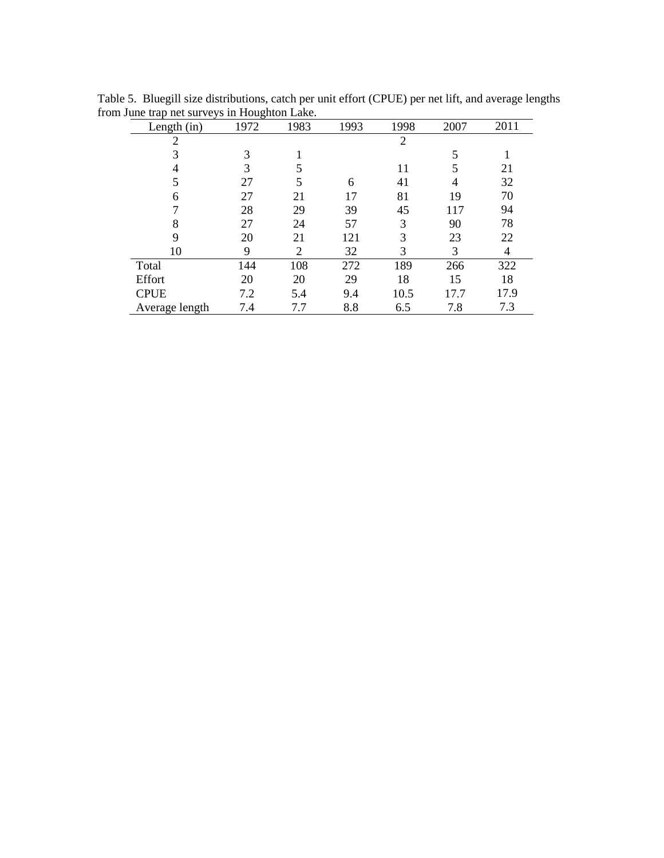| Length (in)    | 1972 | 1983 | 1993 | 1998           | 2007 | 2011 |
|----------------|------|------|------|----------------|------|------|
| $\overline{2}$ |      |      |      | $\overline{2}$ |      |      |
| 3              | 3    |      |      |                | 5    |      |
|                | 3    | 5    |      | 11             |      | 21   |
| 5              | 27   | 5    | 6    | 41             | 4    | 32   |
| 6              | 27   | 21   | 17   | 81             | 19   | 70   |
|                | 28   | 29   | 39   | 45             | 117  | 94   |
| 8              | 27   | 24   | 57   | 3              | 90   | 78   |
| 9              | 20   | 21   | 121  | 3              | 23   | 22   |
| 10             | 9    | 2    | 32   | 3              | 3    | 4    |
| Total          | 144  | 108  | 272  | 189            | 266  | 322  |
| Effort         | 20   | 20   | 29   | 18             | 15   | 18   |
| <b>CPUE</b>    | 7.2  | 5.4  | 9.4  | 10.5           | 17.7 | 17.9 |
| Average length | 7.4  | 7.7  | 8.8  | 6.5            | 7.8  | 7.3  |

Table 5. Bluegill size distributions, catch per unit effort (CPUE) per net lift, and average lengths from June trap net surveys in Houghton Lake.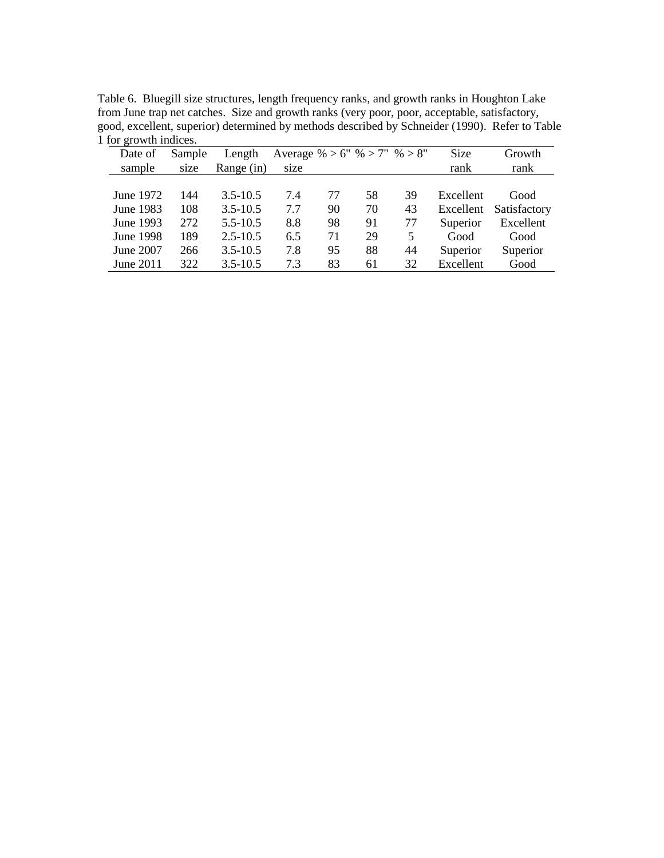| Table 6. Bluegill size structures, length frequency ranks, and growth ranks in Houghton Lake   |
|------------------------------------------------------------------------------------------------|
| from June trap net catches. Size and growth ranks (very poor, poor, acceptable, satisfactory,  |
| good, excellent, superior) determined by methods described by Schneider (1990). Refer to Table |
| 1 for growth indices.                                                                          |

| Date of   | Sample | Length       | Average % > 6" % > 7" % > 8" |    |    |    | Size      | Growth       |
|-----------|--------|--------------|------------------------------|----|----|----|-----------|--------------|
| sample    | size   | Range (in)   | size                         |    |    |    | rank      | rank         |
|           |        |              |                              |    |    |    |           |              |
| June 1972 | 144    | $3.5 - 10.5$ | 7.4                          | 77 | 58 | 39 | Excellent | Good         |
| June 1983 | 108    | $3.5 - 10.5$ | 7.7                          | 90 | 70 | 43 | Excellent | Satisfactory |
| June 1993 | 272    | $5.5 - 10.5$ | 8.8                          | 98 | 91 | 77 | Superior  | Excellent    |
| June 1998 | 189    | $2.5 - 10.5$ | 6.5                          | 71 | 29 | 5  | Good      | Good         |
| June 2007 | 266    | $3.5 - 10.5$ | 7.8                          | 95 | 88 | 44 | Superior  | Superior     |
| June 2011 | 322    | $3.5 - 10.5$ | 7.3                          | 83 | 61 | 32 | Excellent | Good         |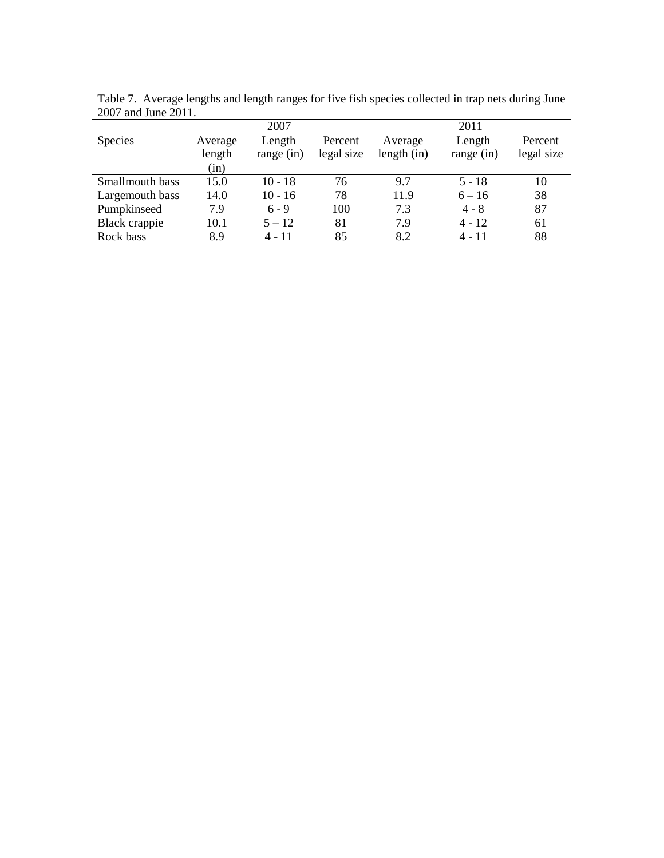|                 |         | 2007         |            |               | 2011       |            |
|-----------------|---------|--------------|------------|---------------|------------|------------|
| <b>Species</b>  | Average | Length       | Percent    | Average       | Length     | Percent    |
|                 | length  | range $(in)$ | legal size | length $(in)$ | range (in) | legal size |
|                 | (in)    |              |            |               |            |            |
| Smallmouth bass | 15.0    | $10 - 18$    | 76         | 9.7           | $5 - 18$   | 10         |
| Largemouth bass | 14.0    | $10 - 16$    | 78         | 11.9          | $6 - 16$   | 38         |
| Pumpkinseed     | 7.9     | $6 - 9$      | 100        | 7.3           | $4 - 8$    | 87         |
| Black crappie   | 10.1    | $5 - 12$     | 81         | 7.9           | $4 - 12$   | 61         |
| Rock bass       | 8.9     | 4 - 11       | 85         | 8.2           | $4 - 11$   | 88         |

Table 7. Average lengths and length ranges for five fish species collected in trap nets during June 2007 and June 2011.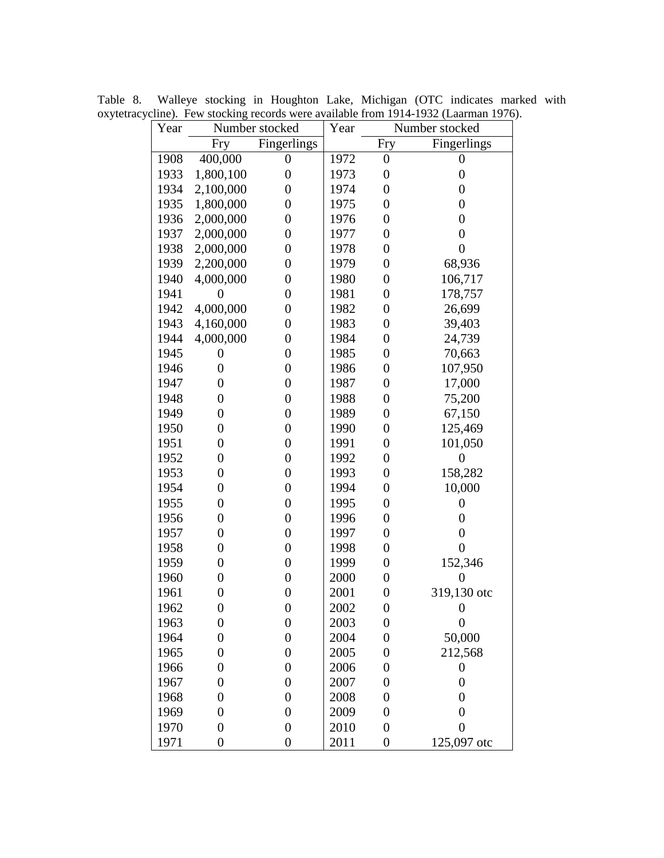| Year | Number stocked   | Year             | Number stocked |                  |                  |  |  |
|------|------------------|------------------|----------------|------------------|------------------|--|--|
|      | Fry              | Fingerlings      |                | Fry              | Fingerlings      |  |  |
| 1908 | 400,000          | $\boldsymbol{0}$ | 1972           | $\boldsymbol{0}$ | $\boldsymbol{0}$ |  |  |
| 1933 | 1,800,100        | $\overline{0}$   | 1973           | $\boldsymbol{0}$ | $\boldsymbol{0}$ |  |  |
| 1934 | 2,100,000        | $\overline{0}$   | 1974           | $\boldsymbol{0}$ | $\boldsymbol{0}$ |  |  |
| 1935 | 1,800,000        | $\boldsymbol{0}$ | 1975           | $\boldsymbol{0}$ | $\boldsymbol{0}$ |  |  |
| 1936 | 2,000,000        | $\boldsymbol{0}$ | 1976           | $\overline{0}$   | $\boldsymbol{0}$ |  |  |
| 1937 | 2,000,000        | $\overline{0}$   | 1977           | $\boldsymbol{0}$ | $\boldsymbol{0}$ |  |  |
| 1938 | 2,000,000        | $\overline{0}$   | 1978           | $\boldsymbol{0}$ | $\boldsymbol{0}$ |  |  |
| 1939 | 2,200,000        | $\boldsymbol{0}$ | 1979           | $\boldsymbol{0}$ | 68,936           |  |  |
| 1940 | 4,000,000        | $\overline{0}$   | 1980           | $\boldsymbol{0}$ | 106,717          |  |  |
| 1941 | $\overline{0}$   | $\overline{0}$   | 1981           | $\overline{0}$   | 178,757          |  |  |
| 1942 | 4,000,000        | $\boldsymbol{0}$ | 1982           | $\boldsymbol{0}$ | 26,699           |  |  |
| 1943 | 4,160,000        | $\boldsymbol{0}$ | 1983           | $\boldsymbol{0}$ | 39,403           |  |  |
| 1944 | 4,000,000        | $\overline{0}$   | 1984           | $\boldsymbol{0}$ | 24,739           |  |  |
| 1945 | 0                | $\overline{0}$   | 1985           | $\boldsymbol{0}$ | 70,663           |  |  |
| 1946 | $\overline{0}$   | $\overline{0}$   | 1986           | $\boldsymbol{0}$ | 107,950          |  |  |
| 1947 | $\overline{0}$   | $\overline{0}$   | 1987           | $\boldsymbol{0}$ | 17,000           |  |  |
| 1948 | $\overline{0}$   | $\overline{0}$   | 1988           | $\boldsymbol{0}$ | 75,200           |  |  |
| 1949 | $\overline{0}$   | $\overline{0}$   | 1989           | $\boldsymbol{0}$ | 67,150           |  |  |
| 1950 | $\overline{0}$   | $\overline{0}$   | 1990           | $\boldsymbol{0}$ | 125,469          |  |  |
| 1951 | $\overline{0}$   | $\overline{0}$   | 1991           | $\boldsymbol{0}$ | 101,050          |  |  |
| 1952 | $\overline{0}$   | $\overline{0}$   | 1992           | $\boldsymbol{0}$ | $\boldsymbol{0}$ |  |  |
| 1953 | $\boldsymbol{0}$ | $\overline{0}$   | 1993           | $\boldsymbol{0}$ | 158,282          |  |  |
| 1954 | $\boldsymbol{0}$ | $\overline{0}$   | 1994           | $\boldsymbol{0}$ | 10,000           |  |  |
| 1955 | $\overline{0}$   | $\overline{0}$   | 1995           | $\boldsymbol{0}$ | $\boldsymbol{0}$ |  |  |
| 1956 | $\overline{0}$   | $\overline{0}$   | 1996           | $\boldsymbol{0}$ | $\boldsymbol{0}$ |  |  |
| 1957 | 0                | $\overline{0}$   | 1997           | $\boldsymbol{0}$ | $\boldsymbol{0}$ |  |  |
| 1958 | $\boldsymbol{0}$ | $\overline{0}$   | 1998           | $\boldsymbol{0}$ | $\boldsymbol{0}$ |  |  |
| 1959 | 0                | $\overline{0}$   | 1999           | $\boldsymbol{0}$ | 152,346          |  |  |
| 1960 | $\overline{0}$   | $\overline{0}$   | 2000           | $\boldsymbol{0}$ | $\overline{0}$   |  |  |
| 1961 | $\boldsymbol{0}$ | $\boldsymbol{0}$ | 2001           | $\boldsymbol{0}$ | 319,130 otc      |  |  |
| 1962 | $\boldsymbol{0}$ | $\boldsymbol{0}$ | 2002           | $\boldsymbol{0}$ | 0                |  |  |
| 1963 | $\boldsymbol{0}$ | $\boldsymbol{0}$ | 2003           | $\boldsymbol{0}$ | $\boldsymbol{0}$ |  |  |
| 1964 | $\boldsymbol{0}$ | $\overline{0}$   | 2004           | $\boldsymbol{0}$ | 50,000           |  |  |
| 1965 | 0                | $\boldsymbol{0}$ | 2005           | $\boldsymbol{0}$ | 212,568          |  |  |
| 1966 | 0                | $\boldsymbol{0}$ | 2006           | $\boldsymbol{0}$ | $\boldsymbol{0}$ |  |  |
| 1967 | 0                | $\boldsymbol{0}$ | 2007           | $\boldsymbol{0}$ | $\boldsymbol{0}$ |  |  |
| 1968 | 0                | $\boldsymbol{0}$ | 2008           | $\boldsymbol{0}$ | $\overline{0}$   |  |  |
| 1969 | 0                | $\boldsymbol{0}$ | 2009           | $\boldsymbol{0}$ | $\boldsymbol{0}$ |  |  |
| 1970 | $\overline{0}$   | $\boldsymbol{0}$ | 2010           | $\boldsymbol{0}$ | $\overline{0}$   |  |  |
| 1971 | $\overline{0}$   | $\overline{0}$   | 2011           | $\boldsymbol{0}$ | 125,097 otc      |  |  |

Table 8. Walleye stocking in Houghton Lake, Michigan (OTC indicates marked with oxytetracycline). Few stocking records were available from 1914-1932 (Laarman 1976).